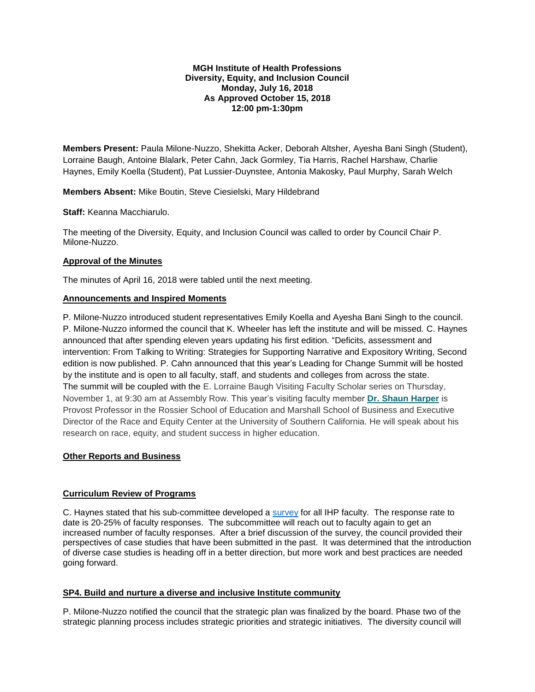#### **MGH Institute of Health Professions Diversity, Equity, and Inclusion Council Monday, July 16, 2018 As Approved October 15, 2018 12:00 pm-1:30pm**

**Members Present:** Paula Milone-Nuzzo, Shekitta Acker, Deborah Altsher, Ayesha Bani Singh (Student), Lorraine Baugh, Antoine Blalark, Peter Cahn, Jack Gormley, Tia Harris, Rachel Harshaw, Charlie Haynes, Emily Koella (Student), Pat Lussier-Duynstee, Antonia Makosky, Paul Murphy, Sarah Welch

**Members Absent:** Mike Boutin, Steve Ciesielski, Mary Hildebrand

**Staff:** Keanna Macchiarulo.

The meeting of the Diversity, Equity, and Inclusion Council was called to order by Council Chair P. Milone-Nuzzo.

## **Approval of the Minutes**

The minutes of April 16, 2018 were tabled until the next meeting.

## **Announcements and Inspired Moments**

P. Milone-Nuzzo introduced student representatives Emily Koella and Ayesha Bani Singh to the council. P. Milone-Nuzzo informed the council that K. Wheeler has left the institute and will be missed. C. Haynes announced that after spending eleven years updating his first edition. "Deficits, assessment and intervention: From Talking to Writing: Strategies for Supporting Narrative and Expository Writing, Second edition is now published. P. Cahn announced that this year's Leading for Change Summit will be hosted by the institute and is open to all faculty, staff, and students and colleges from across the state. The summit will be coupled with the E. Lorraine Baugh Visiting Faculty Scholar series on Thursday, November 1, at 9:30 am at Assembly Row. This year's visiting faculty member **[Dr. Shaun Harper](https://t.e2ma.net/click/y8izu/i4o02r/iowj6h)** is Provost Professor in the Rossier School of Education and Marshall School of Business and Executive Director of the Race and Equity Center at the University of Southern California. He will speak about his research on race, equity, and student success in higher education.

# **Other Reports and Business**

# **Curriculum Review of Programs**

C. Haynes stated that his sub-committee developed a [survey](file://///Cifs2/ihpadmn$/Elizabeth%20Share/DIVERSITY%20COUNCIL/2017-2018/July%2016,%202018/DRAFT%20DEI%20CASE%20SURVEY%20FOR%20IHP%20FACULTY.docx) for all IHP faculty. The response rate to date is 20-25% of faculty responses. The subcommittee will reach out to faculty again to get an increased number of faculty responses. After a brief discussion of the survey, the council provided their perspectives of case studies that have been submitted in the past. It was determined that the introduction of diverse case studies is heading off in a better direction, but more work and best practices are needed going forward.

#### **SP4. Build and nurture a diverse and inclusive Institute community**

P. Milone-Nuzzo notified the council that the strategic plan was finalized by the board. Phase two of the strategic planning process includes strategic priorities and strategic initiatives. The diversity council will